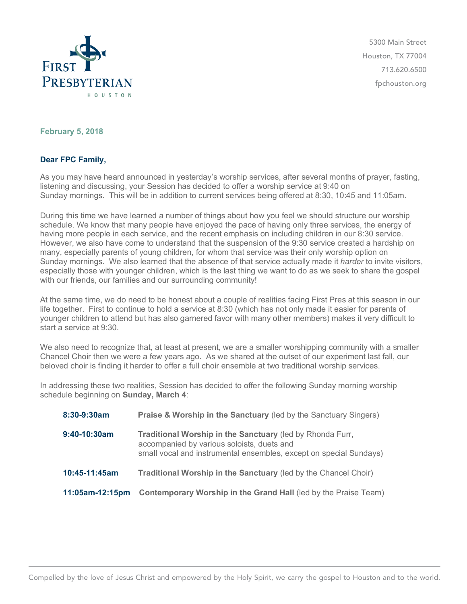

5300 Main Street Houston, TX 77004 713.620.6500 fpchouston.org

## **February 5, 2018**

## **Dear FPC Family,**

As you may have heard announced in yesterday's worship services, after several months of prayer, fasting, listening and discussing, your Session has decided to offer a worship service at 9:40 on Sunday mornings. This will be in addition to current services being offered at 8:30, 10:45 and 11:05am.

During this time we have learned a number of things about how you feel we should structure our worship schedule. We know that many people have enjoyed the pace of having only three services, the energy of having more people in each service, and the recent emphasis on including children in our 8:30 service. However, we also have come to understand that the suspension of the 9:30 service created a hardship on many, especially parents of young children, for whom that service was their only worship option on Sunday mornings. We also learned that the absence of that service actually made it *harder* to invite visitors, especially those with younger children, which is the last thing we want to do as we seek to share the gospel with our friends, our families and our surrounding community!

At the same time, we do need to be honest about a couple of realities facing First Pres at this season in our life together. First to continue to hold a service at 8:30 (which has not only made it easier for parents of younger children to attend but has also garnered favor with many other members) makes it very difficult to start a service at 9:30.

We also need to recognize that, at least at present, we are a smaller worshipping community with a smaller Chancel Choir then we were a few years ago. As we shared at the outset of our experiment last fall, our beloved choir is finding it harder to offer a full choir ensemble at two traditional worship services.

In addressing these two realities, Session has decided to offer the following Sunday morning worship schedule beginning on **Sunday, March 4**:

| 8:30-9:30am     | <b>Praise &amp; Worship in the Sanctuary (led by the Sanctuary Singers)</b>                                                                                                   |
|-----------------|-------------------------------------------------------------------------------------------------------------------------------------------------------------------------------|
| 9:40-10:30am    | Traditional Worship in the Sanctuary (led by Rhonda Furr,<br>accompanied by various soloists, duets and<br>small vocal and instrumental ensembles, except on special Sundays) |
| 10:45-11:45am   | Traditional Worship in the Sanctuary (led by the Chancel Choir)                                                                                                               |
| 11:05am-12:15pm | Contemporary Worship in the Grand Hall (led by the Praise Team)                                                                                                               |